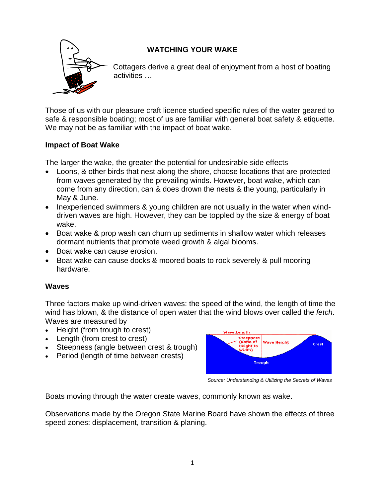

# **WATCHING YOUR WAKE**

Cottagers derive a great deal of enjoyment from a host of boating activities …

Those of us with our pleasure craft licence studied specific rules of the water geared to safe & responsible boating; most of us are familiar with general boat safety & etiquette. We may not be as familiar with the impact of boat wake.

# **Impact of Boat Wake**

The larger the wake, the greater the potential for undesirable side effects

- Loons, & other birds that nest along the shore, choose locations that are protected from waves generated by the prevailing winds. However, boat wake, which can come from any direction, can & does drown the nests & the young, particularly in May & June.
- Inexperienced swimmers & young children are not usually in the water when winddriven waves are high. However, they can be toppled by the size & energy of boat wake.
- Boat wake & prop wash can churn up sediments in shallow water which releases dormant nutrients that promote weed growth & algal blooms.
- Boat wake can cause erosion.
- Boat wake can cause docks & moored boats to rock severely & pull mooring hardware.

# **Waves**

Three factors make up wind-driven waves: the speed of the wind, the length of time the wind has blown, & the distance of open water that the wind blows over called the *fetch*. Waves are measured by

- Height (from trough to crest)
- Length (from crest to crest)
- Steepness (angle between crest & trough)
- Period (length of time between crests)



*Source: Understanding & Utilizing the Secrets of Waves* 

Boats moving through the water create waves, commonly known as wake.

Observations made by the Oregon State Marine Board have shown the effects of three speed zones: displacement, transition & planing.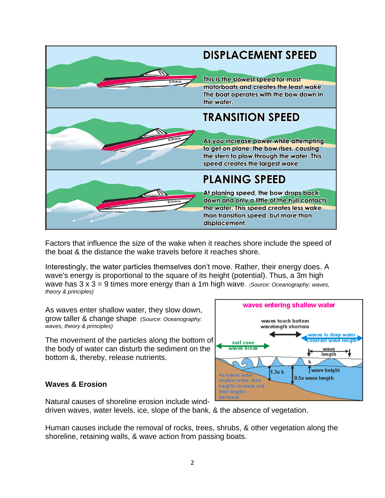

Factors that influence the size of the wake when it reaches shore include the speed of the boat & the distance the wake travels before it reaches shore.

Interestingly, the water particles themselves don't move. Rather, their energy does. A wave's energy is proportional to the square of its height (potential). Thus, a 3m high wave has 3 x 3 = 9 times more energy than a 1m high wave. (*Source: Oceanography: waves, theory & principles)*

As waves enter shallow water, they slow down, grow taller & change shape. *(Source: Oceanography: waves, theory & principles)*

The movement of the particles along the bottom of the body of water can disturb the sediment on the bottom &, thereby, release nutrients.

# **Waves & Erosion**



Natural causes of shoreline erosion include wind-

driven waves, water levels, ice, slope of the bank, & the absence of vegetation.

Human causes include the removal of rocks, trees, shrubs, & other vegetation along the shoreline, retaining walls, & wave action from passing boats.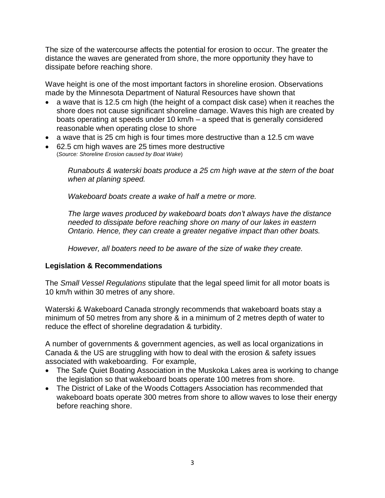The size of the watercourse affects the potential for erosion to occur. The greater the distance the waves are generated from shore, the more opportunity they have to dissipate before reaching shore.

Wave height is one of the most important factors in shoreline erosion. Observations made by the Minnesota Department of Natural Resources have shown that

- a wave that is 12.5 cm high (the height of a compact disk case) when it reaches the shore does not cause significant shoreline damage. Waves this high are created by boats operating at speeds under 10 km/h – a speed that is generally considered reasonable when operating close to shore
- a wave that is 25 cm high is four times more destructive than a 12.5 cm wave
- 62.5 cm high waves are 25 times more destructive (*Source: Shoreline Erosion caused by Boat Wake*)

*Runabouts & waterski boats produce a 25 cm high wave at the stern of the boat when at planing speed.*

*Wakeboard boats create a wake of half a metre or more.*

*The large waves produced by wakeboard boats don't always have the distance needed to dissipate before reaching shore on many of our lakes in eastern Ontario. Hence, they can create a greater negative impact than other boats.* 

*However, all boaters need to be aware of the size of wake they create.* 

#### **Legislation & Recommendations**

The *Small Vessel Regulations* stipulate that the legal speed limit for all motor boats is 10 km/h within 30 metres of any shore.

Waterski & Wakeboard Canada strongly recommends that wakeboard boats stay a minimum of 50 metres from any shore & in a minimum of 2 metres depth of water to reduce the effect of shoreline degradation & turbidity.

A number of governments & government agencies, as well as local organizations in Canada & the US are struggling with how to deal with the erosion & safety issues associated with wakeboarding. For example,

- The Safe Quiet Boating Association in the Muskoka Lakes area is working to change the legislation so that wakeboard boats operate 100 metres from shore.
- The District of Lake of the Woods Cottagers Association has recommended that wakeboard boats operate 300 metres from shore to allow waves to lose their energy before reaching shore.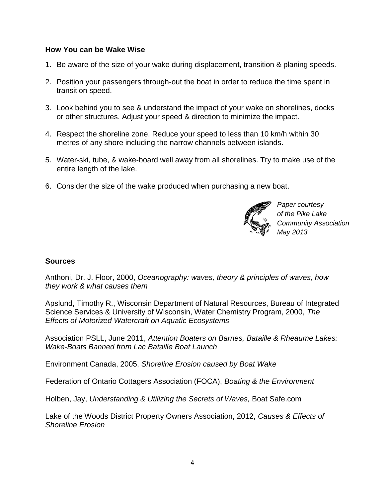#### **How You can be Wake Wise**

- 1. Be aware of the size of your wake during displacement, transition & planing speeds.
- 2. Position your passengers through-out the boat in order to reduce the time spent in transition speed.
- 3. Look behind you to see & understand the impact of your wake on shorelines, docks or other structures. Adjust your speed & direction to minimize the impact.
- 4. Respect the shoreline zone. Reduce your speed to less than 10 km/h within 30 metres of any shore including the narrow channels between islands.
- 5. Water-ski, tube, & wake-board well away from all shorelines. Try to make use of the entire length of the lake.
- 6. Consider the size of the wake produced when purchasing a new boat.



*Paper courtesy of the Pike Lake Community Association May 2013*

#### **Sources**

Anthoni, Dr. J. Floor, 2000, *Oceanography: waves, theory & principles of waves, how they work & what causes them*

Apslund, Timothy R., Wisconsin Department of Natural Resources, Bureau of Integrated Science Services & University of Wisconsin, Water Chemistry Program, 2000, *The Effects of Motorized Watercraft on Aquatic Ecosystems*

Association PSLL, June 2011, *Attention Boaters on Barnes, Bataille & Rheaume Lakes: Wake-Boats Banned from Lac Bataille Boat Launch*

Environment Canada, 2005, *Shoreline Erosion caused by Boat Wake*

Federation of Ontario Cottagers Association (FOCA), *Boating & the Environment*

Holben, Jay, *Understanding & Utilizing the Secrets of Waves,* Boat Safe.com

Lake of the Woods District Property Owners Association, 2012, *Causes & Effects of Shoreline Erosion*